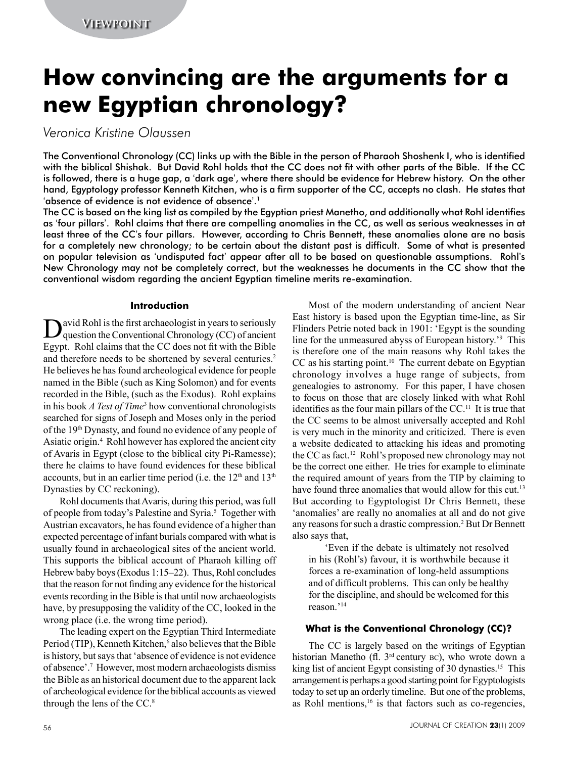# **How convincing are the arguments for a new Egyptian chronology?**

*Veronica Kristine Olaussen*

The Conventional Chronology (CC) links up with the Bible in the person of Pharaoh Shoshenk I, who is identified with the biblical Shishak. But David Rohl holds that the CC does not fit with other parts of the Bible. If the CC is followed, there is a huge gap, a 'dark age', where there should be evidence for Hebrew history. On the other hand, Egyptology professor Kenneth Kitchen, who is a firm supporter of the CC, accepts no clash. He states that 'absence of evidence is not evidence of absence'. 1

The CC is based on the king list as compiled by the Egyptian priest Manetho, and additionally what Rohl identifies as 'four pillars'. Rohl claims that there are compelling anomalies in the CC, as well as serious weaknesses in at least three of the CC's four pillars. However, according to Chris Bennett, these anomalies alone are no basis for a completely new chronology; to be certain about the distant past is difficult. Some of what is presented on popular television as 'undisputed fact' appear after all to be based on questionable assumptions. Rohl's New Chronology may not be completely correct, but the weaknesses he documents in the CC show that the conventional wisdom regarding the ancient Egyptian timeline merits re-examination.

## **Introduction**

David Rohl is the first archaeologist in years to seriously question the Conventional Chronology (CC) of ancient Egypt. Rohl claims that the CC does not fit with the Bible and therefore needs to be shortened by several centuries.<sup>2</sup> He believes he has found archeological evidence for people named in the Bible (such as King Solomon) and for events recorded in the Bible, (such as the Exodus). Rohl explains in his book *A Test of Time*<sup>3</sup> how conventional chronologists searched for signs of Joseph and Moses only in the period of the 19th Dynasty, and found no evidence of any people of Asiatic origin.<sup>4</sup> Rohl however has explored the ancient city of Avaris in Egypt (close to the biblical city Pi-Ramesse); there he claims to have found evidences for these biblical accounts, but in an earlier time period (i.e. the  $12<sup>th</sup>$  and  $13<sup>th</sup>$ Dynasties by CC reckoning).

Rohl documents that Avaris, during this period, was full of people from today's Palestine and Syria.<sup>5</sup> Together with Austrian excavators, he has found evidence of a higher than expected percentage of infant burials compared with what is usually found in archaeological sites of the ancient world. This supports the biblical account of Pharaoh killing off Hebrew baby boys (Exodus 1:15–22). Thus, Rohl concludes that the reason for not finding any evidence for the historical events recording in the Bible is that until now archaeologists have, by presupposing the validity of the CC, looked in the wrong place (i.e. the wrong time period).

The leading expert on the Egyptian Third Intermediate Period (TIP), Kenneth Kitchen,<sup>6</sup> also believes that the Bible is history, but says that 'absence of evidence is not evidence of absence'.<sup>7</sup> However, most modern archaeologists dismiss the Bible as an historical document due to the apparent lack of archeological evidence for the biblical accounts as viewed through the lens of the CC.<sup>8</sup>

Most of the modern understanding of ancient Near East history is based upon the Egyptian time-line, as Sir Flinders Petrie noted back in 1901: 'Egypt is the sounding line for the unmeasured abyss of European history.'9 This is therefore one of the main reasons why Rohl takes the  $CC$  as his starting point.<sup>10</sup> The current debate on Egyptian chronology involves a huge range of subjects, from genealogies to astronomy. For this paper, I have chosen to focus on those that are closely linked with what Rohl identifies as the four main pillars of the CC.11 It is true that the CC seems to be almost universally accepted and Rohl is very much in the minority and criticized. There is even a website dedicated to attacking his ideas and promoting the CC as fact.12 Rohl's proposed new chronology may not be the correct one either. He tries for example to eliminate the required amount of years from the TIP by claiming to have found three anomalies that would allow for this cut.<sup>13</sup> But according to Egyptologist Dr Chris Bennett, these 'anomalies' are really no anomalies at all and do not give any reasons for such a drastic compression.<sup>2</sup> But Dr Bennett also says that,

'Even if the debate is ultimately not resolved in his (Rohl's) favour, it is worthwhile because it forces a re-examination of long-held assumptions and of difficult problems. This can only be healthy for the discipline, and should be welcomed for this reason.'14

## **What is the Conventional Chronology (CC)?**

The CC is largely based on the writings of Egyptian historian Manetho (fl. 3<sup>rd</sup> century bc), who wrote down a king list of ancient Egypt consisting of 30 dynasties.<sup>15</sup> This arrangement is perhaps a good starting point for Egyptologists today to set up an orderly timeline. But one of the problems, as Rohl mentions,<sup>16</sup> is that factors such as co-regencies,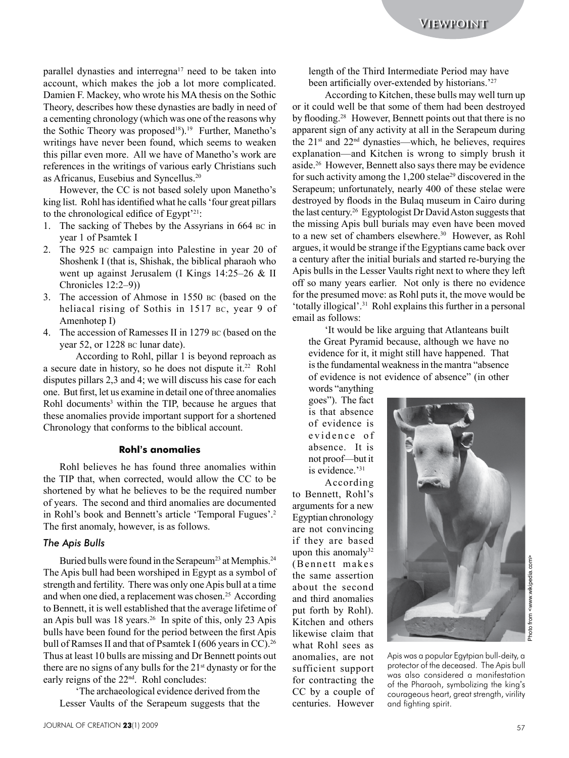parallel dynasties and interregna<sup>17</sup> need to be taken into account, which makes the job a lot more complicated. Damien F. Mackey, who wrote his MA thesis on the Sothic Theory, describes how these dynasties are badly in need of a cementing chronology (which was one of the reasons why the Sothic Theory was proposed<sup>18</sup>).<sup>19</sup> Further, Manetho's writings have never been found, which seems to weaken this pillar even more. All we have of Manetho's work are references in the writings of various early Christians such as Africanus, Eusebius and Syncellus.20

However, the CC is not based solely upon Manetho's king list. Rohl has identified what he calls 'four great pillars to the chronological edifice of Egypt'21:

- 1. The sacking of Thebes by the Assyrians in 664 bc in year 1 of Psamtek I
- 2. The 925 bc campaign into Palestine in year 20 of Shoshenk I (that is, Shishak, the biblical pharaoh who went up against Jerusalem (I Kings 14:25–26 & II Chronicles 12:2–9))
- 3. The accession of Ahmose in 1550 bc (based on the heliacal rising of Sothis in 1517 bc, year 9 of Amenhotep I)
- 4. The accession of Ramesses II in 1279 bc (based on the year 52, or 1228 bc lunar date).

According to Rohl, pillar 1 is beyond reproach as a secure date in history, so he does not dispute it.22 Rohl disputes pillars 2,3 and 4; we will discuss his case for each one. But first, let us examine in detail one of three anomalies Rohl documents<sup>3</sup> within the TIP, because he argues that these anomalies provide important support for a shortened Chronology that conforms to the biblical account.

#### **Rohl's anomalies**

Rohl believes he has found three anomalies within the TIP that, when corrected, would allow the CC to be shortened by what he believes to be the required number of years. The second and third anomalies are documented in Rohl's book and Bennett's article 'Temporal Fugues'.<sup>2</sup> The first anomaly, however, is as follows.

## *The Apis Bulls*

Buried bulls were found in the Serapeum<sup>23</sup> at Memphis.<sup>24</sup> The Apis bull had been worshiped in Egypt as a symbol of strength and fertility. There was only one Apis bull at a time and when one died, a replacement was chosen.<sup>25</sup> According to Bennett, it is well established that the average lifetime of an Apis bull was 18 years.<sup>26</sup> In spite of this, only 23 Apis bulls have been found for the period between the first Apis bull of Ramses II and that of Psamtek I (606 years in CC).<sup>26</sup> Thus at least 10 bulls are missing and Dr Bennett points out there are no signs of any bulls for the 21<sup>st</sup> dynasty or for the early reigns of the 22nd. Rohl concludes:

'The archaeological evidence derived from the Lesser Vaults of the Serapeum suggests that the length of the Third Intermediate Period may have been artificially over-extended by historians.<sup>'27</sup>

According to Kitchen, these bulls may well turn up or it could well be that some of them had been destroyed by flooding.<sup>28</sup> However, Bennett points out that there is no apparent sign of any activity at all in the Serapeum during the 21st and 22nd dynasties—which, he believes, requires explanation—and Kitchen is wrong to simply brush it aside.<sup>26</sup> However, Bennett also says there may be evidence for such activity among the  $1,200$  stelae<sup>29</sup> discovered in the Serapeum; unfortunately, nearly 400 of these stelae were destroyed by floods in the Bulaq museum in Cairo during the last century.<sup>26</sup> Egyptologist Dr David Aston suggests that the missing Apis bull burials may even have been moved to a new set of chambers elsewhere.<sup>30</sup> However, as Rohl argues, it would be strange if the Egyptians came back over a century after the initial burials and started re-burying the Apis bulls in the Lesser Vaults right next to where they left off so many years earlier. Not only is there no evidence for the presumed move: as Rohl puts it, the move would be 'totally illogical'.31 Rohl explains this further in a personal email as follows:

'It would be like arguing that Atlanteans built the Great Pyramid because, although we have no evidence for it, it might still have happened. That is the fundamental weakness in the mantra "absence of evidence is not evidence of absence" (in other

words "anything goes"). The fact is that absence of evidence is evidence of absence. It is not proof—but it is evidence.'31

According to Bennett, Rohl's arguments for a new Egyptian chronology are not convincing if they are based upon this anomaly $32$ (Bennett makes the same assertion about the second and third anomalies put forth by Rohl). Kitchen and others likewise claim that what Rohl sees as anomalies, are not sufficient support for contracting the CC by a couple of centuries. However



Apis was a popular Egytpian bull-deity, a protector of the deceased. The Apis bull was also considered a manifestation of the Pharaoh, symbolizing the king's courageous heart, great strength, virility and fighting spirit.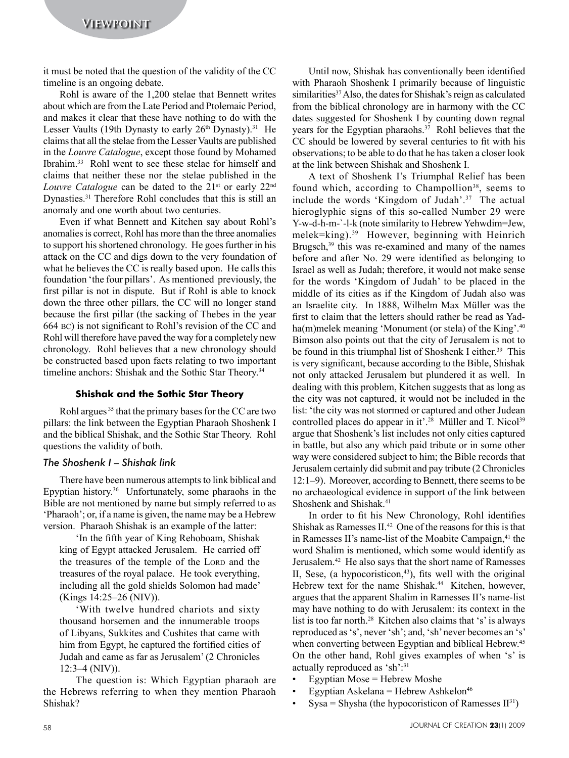it must be noted that the question of the validity of the CC timeline is an ongoing debate.

Rohl is aware of the 1,200 stelae that Bennett writes about which are from the Late Period and Ptolemaic Period, and makes it clear that these have nothing to do with the Lesser Vaults (19th Dynasty to early  $26<sup>th</sup>$  Dynasty).<sup>31</sup> He claims that all the stelae from the Lesser Vaults are published in the *Louvre Catalogue*, except those found by Mohamed Ibrahim.<sup>33</sup> Rohl went to see these stelae for himself and claims that neither these nor the stelae published in the *Louvre Catalogue* can be dated to the 21<sup>st</sup> or early 22<sup>nd</sup> Dynasties.31 Therefore Rohl concludes that this is still an anomaly and one worth about two centuries.

Even if what Bennett and Kitchen say about Rohl's anomalies is correct, Rohl has more than the three anomalies to support his shortened chronology. He goes further in his attack on the CC and digs down to the very foundation of what he believes the CC is really based upon. He calls this foundation 'the four pillars'. As mentioned previously, the first pillar is not in dispute. But if Rohl is able to knock down the three other pillars, the CC will no longer stand because the first pillar (the sacking of Thebes in the year 664 BC) is not significant to Rohl's revision of the CC and Rohl will therefore have paved the way for a completely new chronology. Rohl believes that a new chronology should be constructed based upon facts relating to two important timeline anchors: Shishak and the Sothic Star Theory.<sup>34</sup>

#### **Shishak and the Sothic Star Theory**

Rohl argues<sup>35</sup> that the primary bases for the CC are two pillars: the link between the Egyptian Pharaoh Shoshenk I and the biblical Shishak, and the Sothic Star Theory. Rohl questions the validity of both.

## *The Shoshenk I – Shishak link*

There have been numerous attempts to link biblical and Epyptian history.<sup>36</sup> Unfortunately, some pharaohs in the Bible are not mentioned by name but simply referred to as 'Pharaoh'; or, if a name is given, the name may be a Hebrew version. Pharaoh Shishak is an example of the latter:

'In the fifth year of King Rehoboam, Shishak king of Egypt attacked Jerusalem. He carried off the treasures of the temple of the LORD and the treasures of the royal palace. He took everything, including all the gold shields Solomon had made' (Kings 14:25–26 (NIV)).

'With twelve hundred chariots and sixty thousand horsemen and the innumerable troops of Libyans, Sukkites and Cushites that came with him from Egypt, he captured the fortified cities of Judah and came as far as Jerusalem' (2 Chronicles 12:3–4 (NIV)).

The question is: Which Egyptian pharaoh are the Hebrews referring to when they mention Pharaoh Shishak?

Until now, Shishak has conventionally been identified with Pharaoh Shoshenk I primarily because of linguistic similarities<sup>37</sup> Also, the dates for Shishak's reign as calculated from the biblical chronology are in harmony with the CC dates suggested for Shoshenk I by counting down regnal years for the Egyptian pharaohs.<sup>37</sup> Rohl believes that the CC should be lowered by several centuries to fit with his observations; to be able to do that he has taken a closer look at the link between Shishak and Shoshenk I.

A text of Shoshenk I's Triumphal Relief has been found which, according to Champollion<sup>38</sup>, seems to include the words 'Kingdom of Judah'.<sup>37</sup> The actual hieroglyphic signs of this so-called Number 29 were Y-w-d-h-m-`-l-k (note similarity to Hebrew Yehwdim=Jew, melek=king).39 However, beginning with Heinrich Brugsch,<sup>39</sup> this was re-examined and many of the names before and after No. 29 were identified as belonging to Israel as well as Judah; therefore, it would not make sense for the words 'Kingdom of Judah' to be placed in the middle of its cities as if the Kingdom of Judah also was an Israelite city. In 1888, Wilhelm Max Müller was the first to claim that the letters should rather be read as Yadha(m)melek meaning 'Monument (or stela) of the King'.<sup>40</sup> Bimson also points out that the city of Jerusalem is not to be found in this triumphal list of Shoshenk I either.<sup>39</sup> This is very significant, because according to the Bible, Shishak not only attacked Jerusalem but plundered it as well. In dealing with this problem, Kitchen suggests that as long as the city was not captured, it would not be included in the list: 'the city was not stormed or captured and other Judean controlled places do appear in it'.<sup>28</sup> Müller and T. Nicol<sup>39</sup> argue that Shoshenk's list includes not only cities captured in battle, but also any which paid tribute or in some other way were considered subject to him; the Bible records that Jerusalem certainly did submit and pay tribute (2 Chronicles 12:1–9). Moreover, according to Bennett, there seems to be no archaeological evidence in support of the link between Shoshenk and Shishak.41

In order to fit his New Chronology, Rohl identifies Shishak as Ramesses II.<sup>42</sup> One of the reasons for this is that in Ramesses II's name-list of the Moabite Campaign,<sup>41</sup> the word Shalim is mentioned, which some would identify as Jerusalem.<sup>42</sup> He also says that the short name of Ramesses II, Sese, (a hypocoristicon, $43$ ), fits well with the original Hebrew text for the name Shishak.<sup>44</sup> Kitchen, however, argues that the apparent Shalim in Ramesses II's name-list may have nothing to do with Jerusalem: its context in the list is too far north.<sup>28</sup> Kitchen also claims that 's' is always reproduced as 's', never 'sh'; and, 'sh' never becomes an 's' when converting between Egyptian and biblical Hebrew.<sup>45</sup> On the other hand, Rohl gives examples of when 's' is actually reproduced as 'sh':31

- Egyptian Mose = Hebrew Moshe
- Egyptian Askelana = Hebrew Ashkelon<sup>46</sup>
- $Sysa = Shysha$  (the hypocoristicon of Ramesses  $II^{31}$ )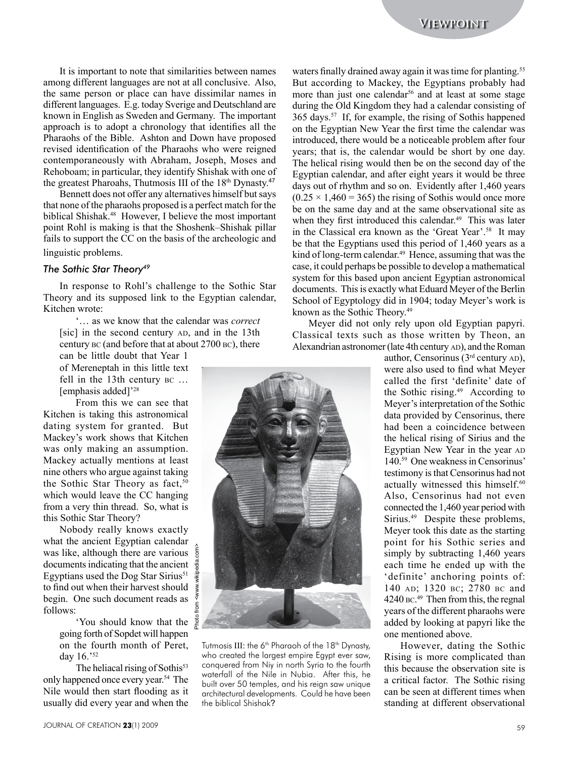It is important to note that similarities between names among different languages are not at all conclusive. Also, the same person or place can have dissimilar names in different languages. E.g. today Sverige and Deutschland are known in English as Sweden and Germany. The important approach is to adopt a chronology that identifies all the Pharaohs of the Bible. Ashton and Down have proposed revised identification of the Pharaohs who were reigned contemporaneously with Abraham, Joseph, Moses and Rehoboam; in particular, they identify Shishak with one of the greatest Pharoahs, Thutmosis III of the 18<sup>th</sup> Dynasty.<sup>47</sup>

Bennett does not offer any alternatives himself but says that none of the pharaohs proposed is a perfect match for the biblical Shishak.<sup>48</sup> However, I believe the most important point Rohl is making is that the Shoshenk–Shishak pillar fails to support the CC on the basis of the archeologic and linguistic problems.

#### *The Sothic Star Theory49*

In response to Rohl's challenge to the Sothic Star Theory and its supposed link to the Egyptian calendar, Kitchen wrote:

'… as we know that the calendar was *correct* [sic] in the second century AD, and in the 13th century bc (and before that at about 2700 bc), there

can be little doubt that Year 1 of Mereneptah in this little text fell in the 13th century bc … [emphasis added]'<sup>28</sup>

From this we can see that Kitchen is taking this astronomical dating system for granted. But Mackey's work shows that Kitchen was only making an assumption. Mackey actually mentions at least nine others who argue against taking the Sothic Star Theory as fact,  $50$ which would leave the CC hanging from a very thin thread. So, what is this Sothic Star Theory?

Nobody really knows exactly what the ancient Egyptian calendar was like, although there are various ā documents indicating that the ancient Egyptians used the Dog Star Sirius<sup>51</sup> to find out when their harvest should begin. One such document reads as follows:

Photo from <www.wikipedia.com>

'You should know that the going forth of Sopdet will happen on the fourth month of Peret, day 16.'52

The heliacal rising of Sothis<sup>53</sup> only happened once every year.<sup>54</sup> The Nile would then start flooding as it usually did every year and when the

Tutmosis III: the 6<sup>th</sup> Pharaoh of the 18<sup>th</sup> Dynasty, who created the largest empire Egypt ever saw, conquered from Niy in north Syria to the fourth waterfall of the Nile in Nubia. After this, he built over 50 temples, and his reign saw unique architectural developments. Could he have been the biblical Shishak?

waters finally drained away again it was time for planting.<sup>55</sup> But according to Mackey, the Egyptians probably had more than just one calendar<sup>56</sup> and at least at some stage during the Old Kingdom they had a calendar consisting of 365 days.<sup>57</sup> If, for example, the rising of Sothis happened on the Egyptian New Year the first time the calendar was introduced, there would be a noticeable problem after four years; that is, the calendar would be short by one day. The helical rising would then be on the second day of the Egyptian calendar, and after eight years it would be three days out of rhythm and so on. Evidently after 1,460 years  $(0.25 \times 1,460 = 365)$  the rising of Sothis would once more be on the same day and at the same observational site as when they first introduced this calendar.<sup>49</sup> This was later in the Classical era known as the 'Great Year'.<sup>58</sup> It may be that the Egyptians used this period of 1,460 years as a kind of long-term calendar.<sup>49</sup> Hence, assuming that was the case, it could perhaps be possible to develop a mathematical system for this based upon ancient Egyptian astronomical documents. This is exactly what Eduard Meyer of the Berlin School of Egyptology did in 1904; today Meyer's work is known as the Sothic Theory.49

Meyer did not only rely upon old Egyptian papyri. Classical texts such as those written by Theon, an Alexandrian astronomer (late 4th century AD), and the Roman

> author, Censorinus  $(3<sup>rd</sup>$  century  $AD)$ , were also used to find what Meyer called the first 'definite' date of the Sothic rising.49 According to Meyer's interpretation of the Sothic data provided by Censorinus, there had been a coincidence between the helical rising of Sirius and the Egyptian New Year in the year AD 140.59 One weakness in Censorinus' testimony is that Censorinus had not actually witnessed this himself.<sup>60</sup> Also, Censorinus had not even connected the 1,460 year period with Sirius.49 Despite these problems, Meyer took this date as the starting point for his Sothic series and simply by subtracting 1,460 years each time he ended up with the 'definite' anchoring points of: 140 ad; 1320 bc; 2780 bc and 4240 bc. 49 Then from this, the regnal years of the different pharaohs were added by looking at papyri like the one mentioned above.

> However, dating the Sothic Rising is more complicated than this because the observation site is a critical factor. The Sothic rising can be seen at different times when standing at different observational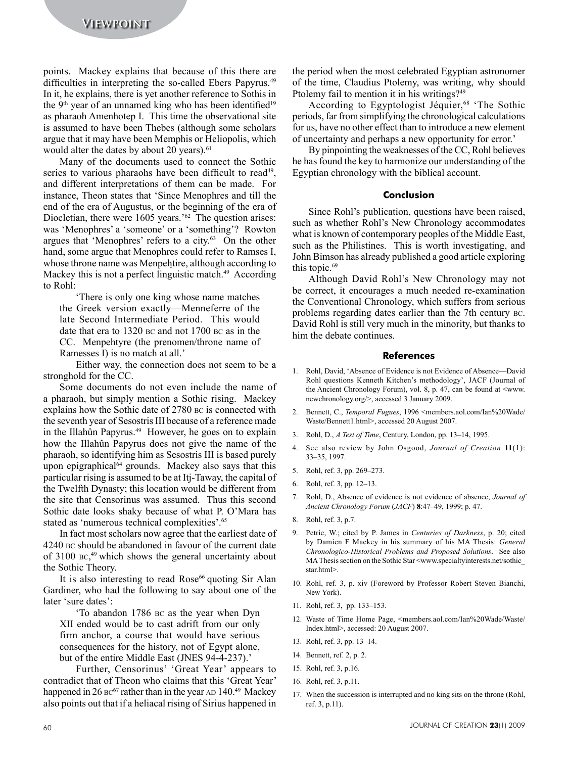points. Mackey explains that because of this there are difficulties in interpreting the so-called Ebers Papyrus.<sup>49</sup> In it, he explains, there is yet another reference to Sothis in the  $9<sup>th</sup>$  year of an unnamed king who has been identified<sup>19</sup> as pharaoh Amenhotep I. This time the observational site is assumed to have been Thebes (although some scholars argue that it may have been Memphis or Heliopolis, which would alter the dates by about 20 years).<sup>61</sup>

Many of the documents used to connect the Sothic series to various pharaohs have been difficult to read<sup>49</sup>, and different interpretations of them can be made. For instance, Theon states that 'Since Menophres and till the end of the era of Augustus, or the beginning of the era of Diocletian, there were 1605 years.<sup>'62</sup> The question arises: was 'Menophres' a 'someone' or a 'something'? Rowton argues that 'Menophres' refers to a city.<sup>63</sup> On the other hand, some argue that Menophres could refer to Ramses I, whose throne name was Menpehtire, although according to Mackey this is not a perfect linguistic match.<sup>49</sup> According to Rohl:

'There is only one king whose name matches the Greek version exactly—Menneferre of the late Second Intermediate Period. This would date that era to 1320 bc and not 1700 bc as in the CC. Menpehtyre (the prenomen/throne name of Ramesses I) is no match at all.'

Either way, the connection does not seem to be a stronghold for the CC.

Some documents do not even include the name of a pharaoh, but simply mention a Sothic rising. Mackey explains how the Sothic date of 2780 bc is connected with the seventh year of Sesostris III because of a reference made in the Illahûn Papyrus.<sup>49</sup> However, he goes on to explain how the Illahûn Papyrus does not give the name of the pharaoh, so identifying him as Sesostris III is based purely upon epigraphical<sup>64</sup> grounds. Mackey also says that this particular rising is assumed to be at Itj-Taway, the capital of the Twelfth Dynasty; this location would be different from the site that Censorinus was assumed. Thus this second Sothic date looks shaky because of what P. O'Mara has stated as 'numerous technical complexities'.<sup>65</sup>

In fact most scholars now agree that the earliest date of 4240 bc should be abandoned in favour of the current date of 3100 bc, 49 which shows the general uncertainty about the Sothic Theory.

It is also interesting to read Rose<sup>66</sup> quoting Sir Alan Gardiner, who had the following to say about one of the later 'sure dates':

'To abandon 1786 bc as the year when Dyn XII ended would be to cast adrift from our only firm anchor, a course that would have serious consequences for the history, not of Egypt alone, but of the entire Middle East (JNES 94-4-237).'

Further, Censorinus' 'Great Year' appears to contradict that of Theon who claims that this 'Great Year' happened in  $26 \text{ BC}^{67}$  rather than in the year AD 140.<sup>49</sup> Mackey also points out that if a heliacal rising of Sirius happened in the period when the most celebrated Egyptian astronomer of the time, Claudius Ptolemy, was writing, why should Ptolemy fail to mention it in his writings?<sup>49</sup>

According to Egyptologist Jéquier,<sup>68</sup> 'The Sothic periods, far from simplifying the chronological calculations for us, have no other effect than to introduce a new element of uncertainty and perhaps a new opportunity for error.'

By pinpointing the weaknesses of the CC, Rohl believes he has found the key to harmonize our understanding of the Egyptian chronology with the biblical account.

#### **Conclusion**

Since Rohl's publication, questions have been raised, such as whether Rohl's New Chronology accommodates what is known of contemporary peoples of the Middle East, such as the Philistines. This is worth investigating, and John Bimson has already published a good article exploring this topic.<sup>69</sup>

Although David Rohl's New Chronology may not be correct, it encourages a much needed re-examination the Conventional Chronology, which suffers from serious problems regarding dates earlier than the 7th century bc. David Rohl is still very much in the minority, but thanks to him the debate continues.

#### **References**

- 1. Rohl, David, 'Absence of Evidence is not Evidence of Absence—David Rohl questions Kenneth Kitchen's methodology', JACF (Journal of the Ancient Chronology Forum), vol. 8, p. 47, can be found at  $\leq$ www. newchronology.org/>, accessed 3 January 2009.
- 2. Bennett, C., *Temporal Fugues*, 1996 <members.aol.com/Ian%20Wade/ Waste/Bennett1.html>, accessed 20 August 2007.
- 3. Rohl, D., *A Test of Time*, Century, London, pp. 13–14, 1995.
- 4. See also review by John Osgood, *Journal of Creation* **11**(1): 33–35, 1997.
- 5. Rohl, ref. 3, pp. 269–273.
- 6. Rohl, ref. 3, pp. 12–13.
- 7. Rohl, D., Absence of evidence is not evidence of absence, *Journal of Ancient Chronology Forum* (*JACF*) **8**:47–49, 1999; p. 47.
- 8. Rohl, ref. 3, p.7.
- 9. Petrie, W.; cited by P. James in *Centuries of Darkness*, p. 20; cited by Damien F Mackey in his summary of his MA Thesis: *General Chronologico-Historical Problems and Proposed Solutions*. See also MA Thesis section on the Sothic Star <www.specialtyinterests.net/sothic star.html>.
- 10. Rohl, ref. 3, p. xiv (Foreword by Professor Robert Steven Bianchi, New York).
- 11. Rohl, ref. 3, pp. 133–153.
- 12. Waste of Time Home Page, <members.aol.com/Ian%20Wade/Waste/ Index.html>, accessed: 20 August 2007.
- 13. Rohl, ref. 3, pp. 13–14.
- 14. Bennett, ref. 2, p. 2.
- 15. Rohl, ref. 3, p.16.
- 16. Rohl, ref. 3, p.11.
- 17. When the succession is interrupted and no king sits on the throne (Rohl, ref. 3, p.11).